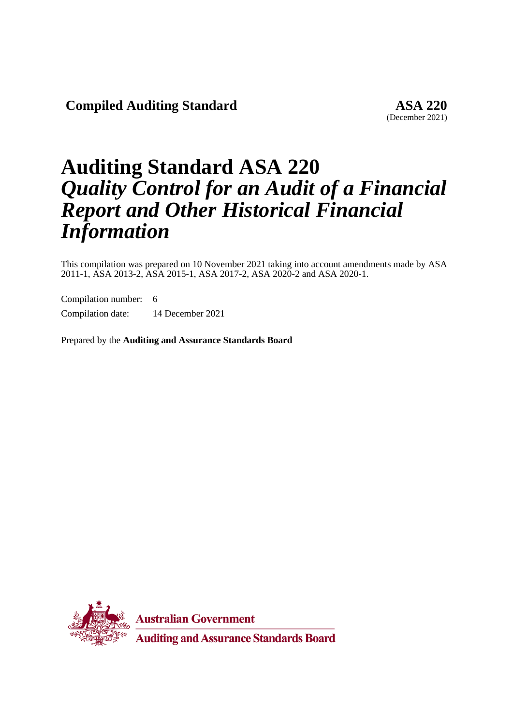**Compiled Auditing Standard ASA 220**

(December 2021)

# **Auditing Standard ASA 220** *Quality Control for an Audit of a Financial Report and Other Historical Financial Information*

This compilation was prepared on 10 November 2021 taking into account amendments made by ASA 2011-1, ASA 2013-2, ASA 2015-1, ASA 2017-2, ASA 2020-2 and ASA 2020-1.

Compilation number: 6 Compilation date: 14 December 2021

Prepared by the **Auditing and Assurance Standards Board**



**Australian Government** 

**Auditing and Assurance Standards Board**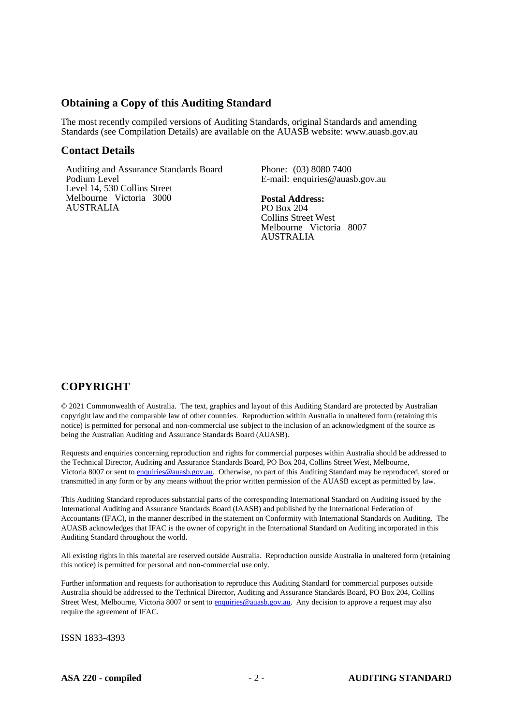## **Obtaining a Copy of this Auditing Standard**

The most recently compiled versions of Auditing Standards, original Standards and amending Standards (see Compilation Details) are available on the AUASB website: www.auasb.gov.au

#### **Contact Details**

Auditing and Assurance Standards Board Podium Level Level 14, 530 Collins Street Melbourne Victoria 3000 AUSTRALIA

Phone: (03) 8080 7400 E-mail: enquiries@auasb.gov.au

**Postal Address:** PO Box 204 Collins Street West Melbourne Victoria 8007 AUSTRALIA

## **COPYRIGHT**

© 2021 Commonwealth of Australia. The text, graphics and layout of this Auditing Standard are protected by Australian copyright law and the comparable law of other countries. Reproduction within Australia in unaltered form (retaining this notice) is permitted for personal and non-commercial use subject to the inclusion of an acknowledgment of the source as being the Australian Auditing and Assurance Standards Board (AUASB).

Requests and enquiries concerning reproduction and rights for commercial purposes within Australia should be addressed to the Technical Director, Auditing and Assurance Standards Board, PO Box 204, Collins Street West, Melbourne, Victoria 8007 or sent t[o enquiries@auasb.gov.au.](mailto:enquiries@auasb.gov.au) Otherwise, no part of this Auditing Standard may be reproduced, stored or transmitted in any form or by any means without the prior written permission of the AUASB except as permitted by law.

This Auditing Standard reproduces substantial parts of the corresponding International Standard on Auditing issued by the International Auditing and Assurance Standards Board (IAASB) and published by the International Federation of Accountants (IFAC), in the manner described in the statement on Conformity with International Standards on Auditing. The AUASB acknowledges that IFAC is the owner of copyright in the International Standard on Auditing incorporated in this Auditing Standard throughout the world.

All existing rights in this material are reserved outside Australia. Reproduction outside Australia in unaltered form (retaining this notice) is permitted for personal and non-commercial use only.

Further information and requests for authorisation to reproduce this Auditing Standard for commercial purposes outside Australia should be addressed to the Technical Director, Auditing and Assurance Standards Board, PO Box 204, Collins Street West, Melbourne, Victoria 8007 or sent to [enquiries@auasb.gov.au.](mailto:enquiries@auasb.gov.au) Any decision to approve a request may also require the agreement of IFAC.

ISSN 1833-4393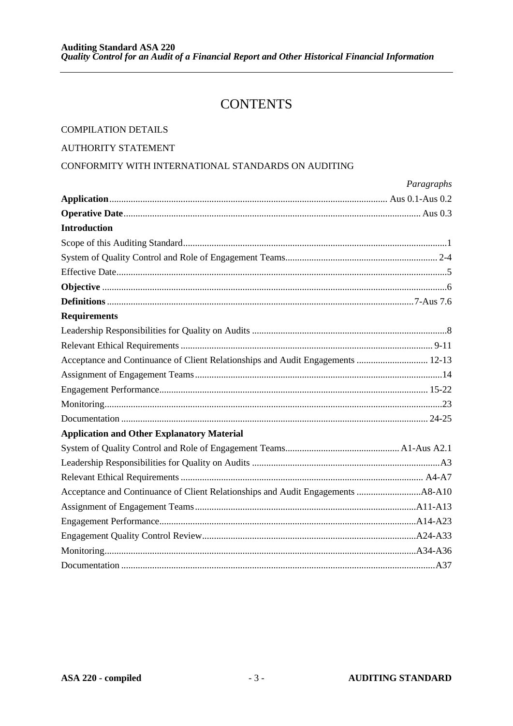## **CONTENTS**

## **COMPILATION DETAILS**

### **AUTHORITY STATEMENT**

## CONFORMITY WITH INTERNATIONAL STANDARDS ON AUDITING

|                                                                                 | Paragraphs |
|---------------------------------------------------------------------------------|------------|
|                                                                                 |            |
|                                                                                 |            |
| <b>Introduction</b>                                                             |            |
|                                                                                 |            |
|                                                                                 |            |
|                                                                                 |            |
|                                                                                 |            |
|                                                                                 |            |
| <b>Requirements</b>                                                             |            |
|                                                                                 |            |
|                                                                                 |            |
| Acceptance and Continuance of Client Relationships and Audit Engagements  12-13 |            |
|                                                                                 |            |
|                                                                                 |            |
|                                                                                 |            |
|                                                                                 |            |
| <b>Application and Other Explanatory Material</b>                               |            |
|                                                                                 |            |
|                                                                                 |            |
|                                                                                 |            |
|                                                                                 |            |
|                                                                                 |            |
|                                                                                 |            |
|                                                                                 |            |
|                                                                                 |            |
|                                                                                 |            |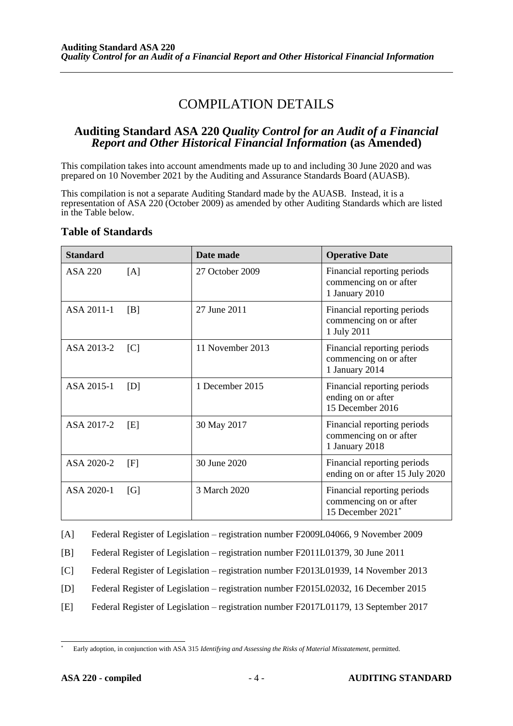## COMPILATION DETAILS

## **Auditing Standard ASA 220** *Quality Control for an Audit of a Financial Report and Other Historical Financial Information* **(as Amended)**

This compilation takes into account amendments made up to and including 30 June 2020 and was prepared on 10 November 2021 by the Auditing and Assurance Standards Board (AUASB).

This compilation is not a separate Auditing Standard made by the AUASB. Instead, it is a representation of ASA 220 (October 2009) as amended by other Auditing Standards which are listed in the Table below.

## **Table of Standards**

| <b>Standard</b> |     | Date made        | <b>Operative Date</b>                                                      |
|-----------------|-----|------------------|----------------------------------------------------------------------------|
| ASA 220         | [A] | 27 October 2009  | Financial reporting periods<br>commencing on or after<br>1 January 2010    |
| ASA 2011-1      | [B] | 27 June 2011     | Financial reporting periods<br>commencing on or after<br>1 July 2011       |
| ASA 2013-2      | [C] | 11 November 2013 | Financial reporting periods<br>commencing on or after<br>1 January 2014    |
| ASA 2015-1      | [D] | 1 December 2015  | Financial reporting periods<br>ending on or after<br>15 December 2016      |
| ASA 2017-2      | [E] | 30 May 2017      | Financial reporting periods<br>commencing on or after<br>1 January 2018    |
| ASA 2020-2      | [F] | 30 June 2020     | Financial reporting periods<br>ending on or after 15 July 2020             |
| ASA 2020-1      | [G] | 3 March 2020     | Financial reporting periods<br>commencing on or after<br>15 December 2021* |

[A] Federal Register of Legislation – registration number F2009L04066, 9 November 2009

[B] Federal Register of Legislation – registration number F2011L01379, 30 June 2011

[C] Federal Register of Legislation – registration number F2013L01939, 14 November 2013

- [D] Federal Register of Legislation registration number F2015L02032, 16 December 2015
- [E] Federal Register of Legislation registration number F2017L01179, 13 September 2017

<sup>\*</sup> Early adoption, in conjunction with ASA 315 *Identifying and Assessing the Risks of Material Misstatement*, permitted.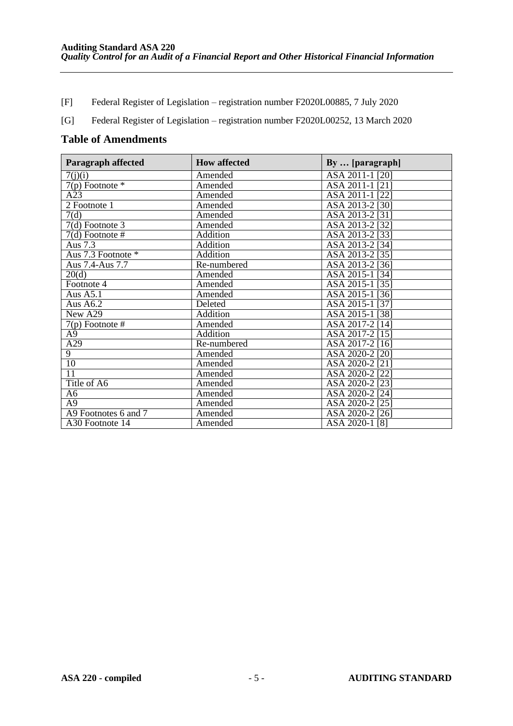- [F] Federal Register of Legislation registration number F2020L00885, 7 July 2020
- [G] Federal Register of Legislation registration number F2020L00252, 13 March 2020

## **Table of Amendments**

| <b>Paragraph affected</b> | <b>How affected</b> | By  [paragraph]                 |
|---------------------------|---------------------|---------------------------------|
| 7(j)(i)                   | Amended             | ASA 2011-1 [20]                 |
| $7(p)$ Footnote $*$       | Amended             | ASA 2011-1 [21]                 |
| $\overline{A23}$          | Amended             | ASA 2011-1<br>$\left[22\right]$ |
| 2 Footnote 1              | Amended             | ASA 2013-2 [30]                 |
| 7(d)                      | Amended             | ASA 2013-2 [31]                 |
| $7(d)$ Footnote 3         | Amended             | ASA 2013-2<br>$\left[32\right]$ |
| $7(d)$ Footnote #         | <b>Addition</b>     | ASA 2013-2<br>$\left[33\right]$ |
| Aus 7.3                   | Addition            | ASA 2013-2<br>$\left[34\right]$ |
| Aus 7.3 Footnote *        | Addition            | ASA 2013-2 [35]                 |
| Aus 7.4-Aus 7.7           | Re-numbered         | ASA 2013-2 [36]                 |
| 20(d)                     | Amended             | ASA 2015-1 [34]                 |
| Footnote 4                | Amended             | ASA 2015-1 [35]                 |
| Aus A5.1                  | Amended             | ASA 2015-1 [36]                 |
| Aus A6.2                  | Deleted             | ASA 2015-1 [37]                 |
| New A29                   | Addition            | ASA 2015-1 [38]                 |
| $7(p)$ Footnote #         | Amended             | ASA 2017-2 [14]                 |
| A <sub>9</sub>            | <b>Addition</b>     | ASA 2017-2 [15]                 |
| A29                       | Re-numbered         | ASA 2017-2<br>[16]              |
| $\overline{9}$            | Amended             | ASA 2020-2<br>[20]              |
| 10                        | Amended             | ASA 2020-2<br>[21]              |
| 11                        | Amended             | ASA 2020-2 [22]                 |
| Title of A6               | Amended             | ASA 2020-2 [23]                 |
| A <sub>6</sub>            | Amended             | ASA 2020-2<br>$\sqrt{24}$       |
| A <sub>9</sub>            | Amended             | ASA 2020-2 [25]                 |
| A9 Footnotes 6 and 7      | Amended             | ASA 2020-2 [26]                 |
| A30 Footnote 14           | Amended             | ASA 2020-1 [8]                  |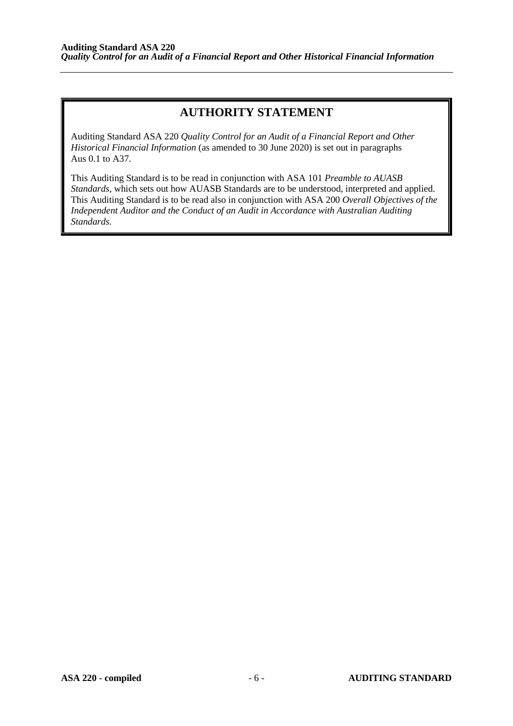## **AUTHORITY STATEMENT**

Auditing Standard ASA 220 *Quality Control for an Audit of a Financial Report and Other Historical Financial Information* (as amended to 30 June 2020) is set out in paragraphs Aus 0.1 to A37.

This Auditing Standard is to be read in conjunction with ASA 101 *Preamble to AUASB Standards*, which sets out how AUASB Standards are to be understood, interpreted and applied. This Auditing Standard is to be read also in conjunction with ASA 200 *Overall Objectives of the Independent Auditor and the Conduct of an Audit in Accordance with Australian Auditing Standards.*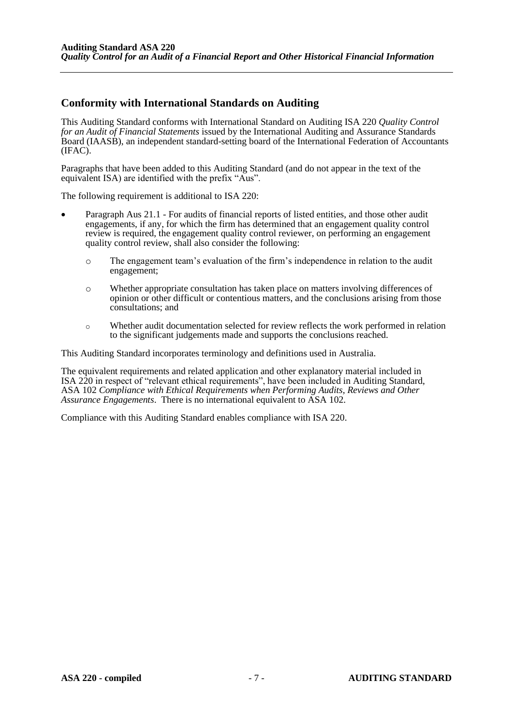## **Conformity with International Standards on Auditing**

This Auditing Standard conforms with International Standard on Auditing ISA 220 *Quality Control for an Audit of Financial Statements* issued by the International Auditing and Assurance Standards Board (IAASB), an independent standard-setting board of the International Federation of Accountants (IFAC).

Paragraphs that have been added to this Auditing Standard (and do not appear in the text of the equivalent ISA) are identified with the prefix "Aus".

The following requirement is additional to ISA 220:

- Paragraph Aus 21.1 For audits of financial reports of listed entities, and those other audit engagements, if any, for which the firm has determined that an engagement quality control review is required, the engagement quality control reviewer, on performing an engagement quality control review, shall also consider the following:
	- o The engagement team's evaluation of the firm's independence in relation to the audit engagement;
	- o Whether appropriate consultation has taken place on matters involving differences of opinion or other difficult or contentious matters, and the conclusions arising from those consultations; and
	- o Whether audit documentation selected for review reflects the work performed in relation to the significant judgements made and supports the conclusions reached.

This Auditing Standard incorporates terminology and definitions used in Australia.

The equivalent requirements and related application and other explanatory material included in ISA 220 in respect of "relevant ethical requirements", have been included in Auditing Standard, ASA 102 *Compliance with Ethical Requirements when Performing Audits, Reviews and Other Assurance Engagements*. There is no international equivalent to ASA 102.

Compliance with this Auditing Standard enables compliance with ISA 220.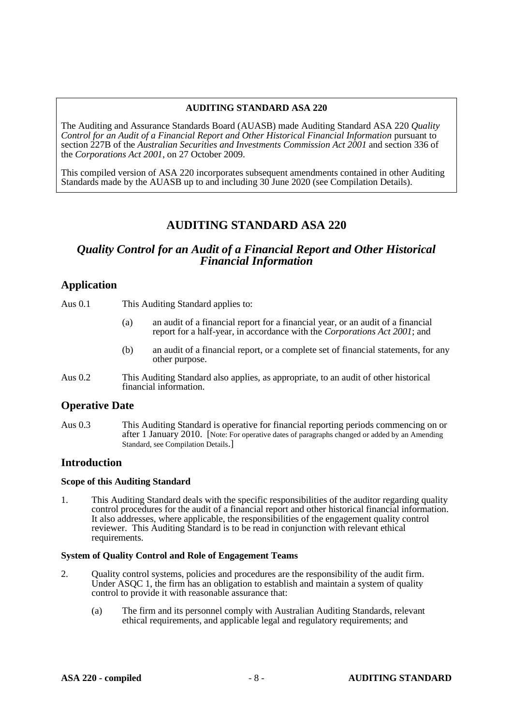#### **AUDITING STANDARD ASA 220**

The Auditing and Assurance Standards Board (AUASB) made Auditing Standard ASA 220 *Quality Control for an Audit of a Financial Report and Other Historical Financial Information* pursuant to section 227B of the *Australian Securities and Investments Commission Act 2001* and section 336 of the *Corporations Act 2001*, on 27 October 2009.

This compiled version of ASA 220 incorporates subsequent amendments contained in other Auditing Standards made by the AUASB up to and including 30 June 2020 (see Compilation Details).

## **AUDITING STANDARD ASA 220**

## *Quality Control for an Audit of a Financial Report and Other Historical Financial Information*

## **Application**

Aus 0.1 This Auditing Standard applies to:

- (a) an audit of a financial report for a financial year, or an audit of a financial report for a half-year, in accordance with the *Corporations Act 2001*; and
- (b) an audit of a financial report, or a complete set of financial statements, for any other purpose.
- Aus 0.2 This Auditing Standard also applies, as appropriate, to an audit of other historical financial information.

### **Operative Date**

Aus 0.3 This Auditing Standard is operative for financial reporting periods commencing on or after 1 January 2010. [Note: For operative dates of paragraphs changed or added by an Amending Standard, see Compilation Details.]

### **Introduction**

#### **Scope of this Auditing Standard**

1. This Auditing Standard deals with the specific responsibilities of the auditor regarding quality control procedures for the audit of a financial report and other historical financial information. It also addresses, where applicable, the responsibilities of the engagement quality control reviewer. This Auditing Standard is to be read in conjunction with relevant ethical requirements.

#### **System of Quality Control and Role of Engagement Teams**

- 2. Quality control systems, policies and procedures are the responsibility of the audit firm. Under ASQC 1, the firm has an obligation to establish and maintain a system of quality control to provide it with reasonable assurance that:
	- (a) The firm and its personnel comply with Australian Auditing Standards, relevant ethical requirements, and applicable legal and regulatory requirements; and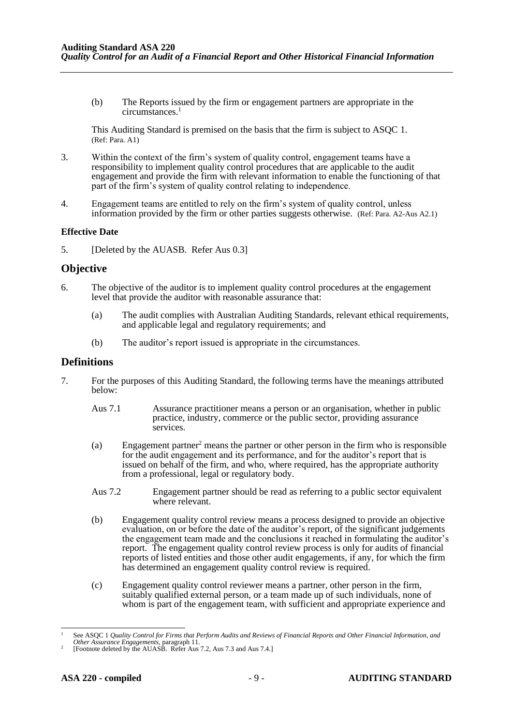(b) The Reports issued by the firm or engagement partners are appropriate in the circumstances.<sup>1</sup>

This Auditing Standard is premised on the basis that the firm is subject to ASQC 1. (Ref: Para. A1)

- 3. Within the context of the firm's system of quality control, engagement teams have a responsibility to implement quality control procedures that are applicable to the audit engagement and provide the firm with relevant information to enable the functioning of that part of the firm's system of quality control relating to independence.
- 4. Engagement teams are entitled to rely on the firm's system of quality control, unless information provided by the firm or other parties suggests otherwise. (Ref: Para. A2-Aus A2.1)

#### **Effective Date**

5. [Deleted by the AUASB. Refer Aus 0.3]

#### **Objective**

- 6. The objective of the auditor is to implement quality control procedures at the engagement level that provide the auditor with reasonable assurance that:
	- (a) The audit complies with Australian Auditing Standards, relevant ethical requirements, and applicable legal and regulatory requirements; and
	- (b) The auditor's report issued is appropriate in the circumstances.

#### **Definitions**

- 7. For the purposes of this Auditing Standard, the following terms have the meanings attributed below:
	- Aus 7.1 Assurance practitioner means a person or an organisation, whether in public practice, industry, commerce or the public sector, providing assurance services.
	- (a) Engagement partner<sup>2</sup> means the partner or other person in the firm who is responsible for the audit engagement and its performance, and for the auditor's report that is issued on behalf of the firm, and who, where required, has the appropriate authority from a professional, legal or regulatory body.
	- Aus 7.2 Engagement partner should be read as referring to a public sector equivalent where relevant.
	- (b) Engagement quality control review means a process designed to provide an objective evaluation, on or before the date of the auditor's report, of the significant judgements the engagement team made and the conclusions it reached in formulating the auditor's report. The engagement quality control review process is only for audits of financial reports of listed entities and those other audit engagements, if any, for which the firm has determined an engagement quality control review is required.
	- (c) Engagement quality control reviewer means a partner, other person in the firm, suitably qualified external person, or a team made up of such individuals, none of whom is part of the engagement team, with sufficient and appropriate experience and

<sup>1</sup> See ASQC 1 *Quality Control for Firms that Perform Audits and Reviews of Financial Reports and Other Financial Information, and Other Assurance Engagements*, paragraph 11.

<sup>2</sup> [Footnote deleted by the AUASB. Refer Aus 7.2, Aus 7.3 and Aus 7.4.]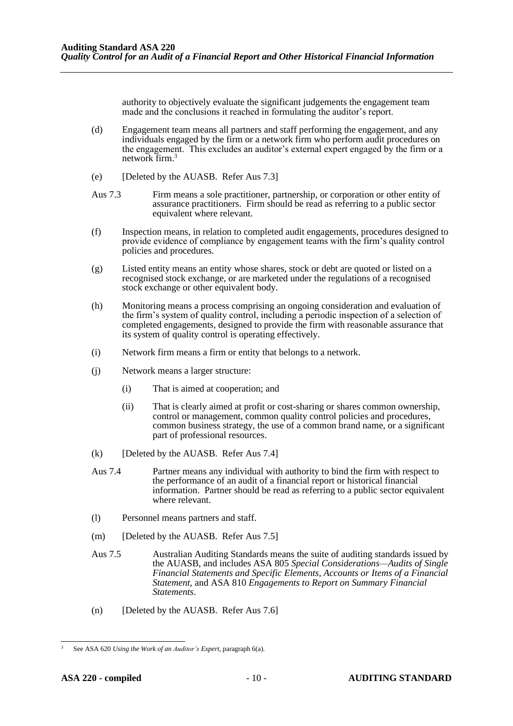authority to objectively evaluate the significant judgements the engagement team made and the conclusions it reached in formulating the auditor's report.

- (d) Engagement team means all partners and staff performing the engagement, and any individuals engaged by the firm or a network firm who perform audit procedures on the engagement. This excludes an auditor's external expert engaged by the firm or a network firm.<sup>3</sup>
- (e) [Deleted by the AUASB. Refer Aus 7.3]
- Aus 7.3 Firm means a sole practitioner, partnership, or corporation or other entity of assurance practitioners. Firm should be read as referring to a public sector equivalent where relevant.
- (f) Inspection means, in relation to completed audit engagements, procedures designed to provide evidence of compliance by engagement teams with the firm's quality control policies and procedures.
- (g) Listed entity means an entity whose shares, stock or debt are quoted or listed on a recognised stock exchange, or are marketed under the regulations of a recognised stock exchange or other equivalent body.
- (h) Monitoring means a process comprising an ongoing consideration and evaluation of the firm's system of quality control, including a periodic inspection of a selection of completed engagements, designed to provide the firm with reasonable assurance that its system of quality control is operating effectively.
- (i) Network firm means a firm or entity that belongs to a network.
- (j) Network means a larger structure:
	- (i) That is aimed at cooperation; and
	- (ii) That is clearly aimed at profit or cost-sharing or shares common ownership, control or management, common quality control policies and procedures, common business strategy, the use of a common brand name, or a significant part of professional resources.
- (k) [Deleted by the AUASB. Refer Aus 7.4]
- Aus 7.4 Partner means any individual with authority to bind the firm with respect to the performance of an audit of a financial report or historical financial information. Partner should be read as referring to a public sector equivalent where relevant.
- (l) Personnel means partners and staff.
- (m) [Deleted by the AUASB. Refer Aus 7.5]
- Aus 7.5 Australian Auditing Standards means the suite of auditing standards issued by the AUASB, and includes ASA 805 *Special Considerations—Audits of Single Financial Statements and Specific Elements, Accounts or Items of a Financial Statement*, and ASA 810 *Engagements to Report on Summary Financial Statements*.
- (n) [Deleted by the AUASB. Refer Aus 7.6]

<sup>3</sup> See ASA 620 *Using the Work of an Auditor's Expert*, paragraph 6(a).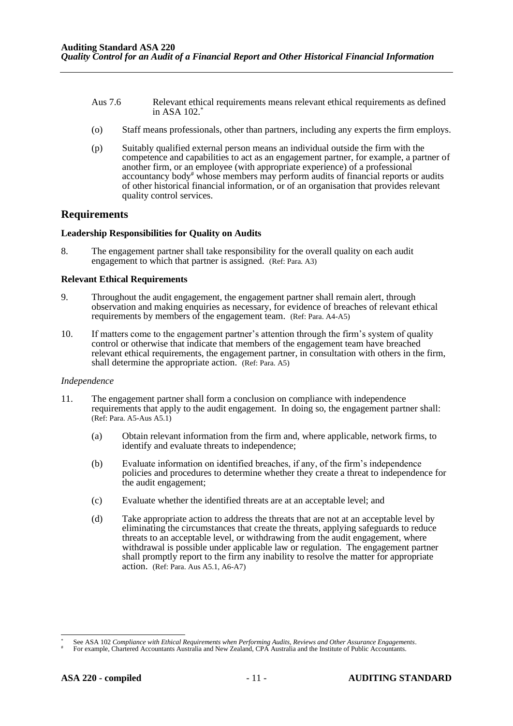- Aus 7.6 Relevant ethical requirements means relevant ethical requirements as defined in ASA 102.\*
- (o) Staff means professionals, other than partners, including any experts the firm employs.
- (p) Suitably qualified external person means an individual outside the firm with the competence and capabilities to act as an engagement partner, for example, a partner of another firm, or an employee (with appropriate experience) of a professional accountancy body# whose members may perform audits of financial reports or audits of other historical financial information, or of an organisation that provides relevant quality control services.

#### **Requirements**

#### **Leadership Responsibilities for Quality on Audits**

8. The engagement partner shall take responsibility for the overall quality on each audit engagement to which that partner is assigned. (Ref: Para. A3)

#### **Relevant Ethical Requirements**

- 9. Throughout the audit engagement, the engagement partner shall remain alert, through observation and making enquiries as necessary, for evidence of breaches of relevant ethical requirements by members of the engagement team. (Ref: Para. A4-A5)
- 10. If matters come to the engagement partner's attention through the firm's system of quality control or otherwise that indicate that members of the engagement team have breached relevant ethical requirements, the engagement partner, in consultation with others in the firm, shall determine the appropriate action. (Ref: Para. A5)

#### *Independence*

- 11. The engagement partner shall form a conclusion on compliance with independence requirements that apply to the audit engagement. In doing so, the engagement partner shall: (Ref: Para. A5-Aus A5.1)
	- (a) Obtain relevant information from the firm and, where applicable, network firms, to identify and evaluate threats to independence;
	- (b) Evaluate information on identified breaches, if any, of the firm's independence policies and procedures to determine whether they create a threat to independence for the audit engagement;
	- (c) Evaluate whether the identified threats are at an acceptable level; and
	- (d) Take appropriate action to address the threats that are not at an acceptable level by eliminating the circumstances that create the threats, applying safeguards to reduce threats to an acceptable level, or withdrawing from the audit engagement, where withdrawal is possible under applicable law or regulation. The engagement partner shall promptly report to the firm any inability to resolve the matter for appropriate action. (Ref: Para. Aus A5.1, A6-A7)

See ASA 102 *Compliance with Ethical Requirements when Performing Audits, Reviews and Other Assurance Engagements*.

For example, Chartered Accountants Australia and New Zealand, CPA Australia and the Institute of Public Accountants.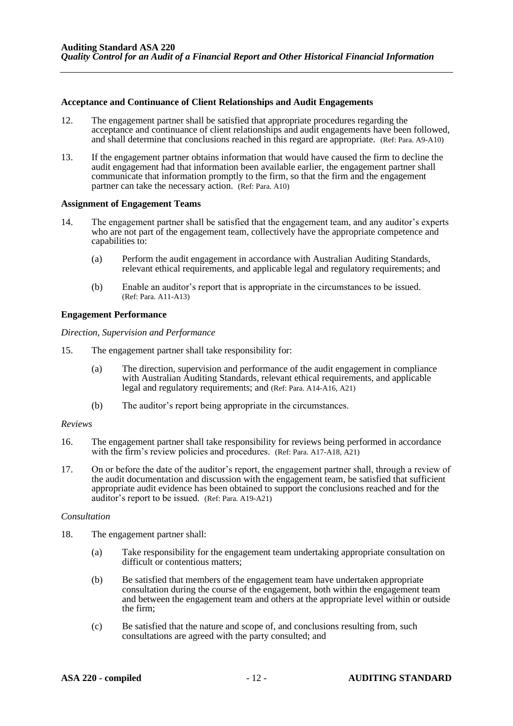#### **Acceptance and Continuance of Client Relationships and Audit Engagements**

- 12. The engagement partner shall be satisfied that appropriate procedures regarding the acceptance and continuance of client relationships and audit engagements have been followed, and shall determine that conclusions reached in this regard are appropriate. (Ref: Para. A9-A10)
- 13. If the engagement partner obtains information that would have caused the firm to decline the audit engagement had that information been available earlier, the engagement partner shall communicate that information promptly to the firm, so that the firm and the engagement partner can take the necessary action. (Ref: Para. A10)

#### **Assignment of Engagement Teams**

- 14. The engagement partner shall be satisfied that the engagement team, and any auditor's experts who are not part of the engagement team, collectively have the appropriate competence and capabilities to:
	- (a) Perform the audit engagement in accordance with Australian Auditing Standards, relevant ethical requirements, and applicable legal and regulatory requirements; and
	- (b) Enable an auditor's report that is appropriate in the circumstances to be issued. (Ref: Para. A11-A13)

#### **Engagement Performance**

*Direction, Supervision and Performance* 

- 15. The engagement partner shall take responsibility for:
	- (a) The direction, supervision and performance of the audit engagement in compliance with Australian Auditing Standards, relevant ethical requirements, and applicable legal and regulatory requirements; and (Ref: Para. A14-A16, A21)
	- (b) The auditor's report being appropriate in the circumstances.

#### *Reviews*

- 16. The engagement partner shall take responsibility for reviews being performed in accordance with the firm's review policies and procedures. (Ref: Para. A17-A18, A21)
- 17. On or before the date of the auditor's report, the engagement partner shall, through a review of the audit documentation and discussion with the engagement team, be satisfied that sufficient appropriate audit evidence has been obtained to support the conclusions reached and for the auditor's report to be issued. (Ref: Para. A19-A21)

#### *Consultation*

- 18. The engagement partner shall:
	- (a) Take responsibility for the engagement team undertaking appropriate consultation on difficult or contentious matters;
	- (b) Be satisfied that members of the engagement team have undertaken appropriate consultation during the course of the engagement, both within the engagement team and between the engagement team and others at the appropriate level within or outside the firm;
	- (c) Be satisfied that the nature and scope of, and conclusions resulting from, such consultations are agreed with the party consulted; and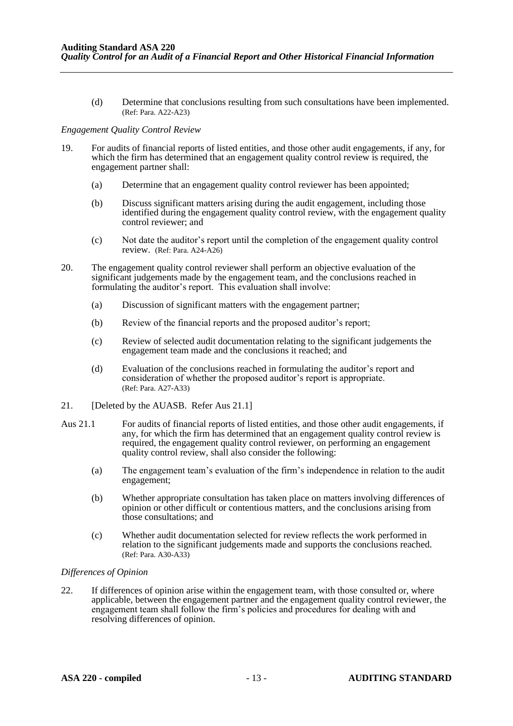(d) Determine that conclusions resulting from such consultations have been implemented. (Ref: Para. A22-A23)

#### *Engagement Quality Control Review*

- 19. For audits of financial reports of listed entities, and those other audit engagements, if any, for which the firm has determined that an engagement quality control review is required, the engagement partner shall:
	- (a) Determine that an engagement quality control reviewer has been appointed;
	- (b) Discuss significant matters arising during the audit engagement, including those identified during the engagement quality control review, with the engagement quality control reviewer; and
	- (c) Not date the auditor's report until the completion of the engagement quality control review. (Ref: Para. A24-A26)
- 20. The engagement quality control reviewer shall perform an objective evaluation of the significant judgements made by the engagement team, and the conclusions reached in formulating the auditor's report. This evaluation shall involve:
	- (a) Discussion of significant matters with the engagement partner;
	- (b) Review of the financial reports and the proposed auditor's report;
	- (c) Review of selected audit documentation relating to the significant judgements the engagement team made and the conclusions it reached; and
	- (d) Evaluation of the conclusions reached in formulating the auditor's report and consideration of whether the proposed auditor's report is appropriate. (Ref: Para. A27-A33)
- 21. [Deleted by the AUASB. Refer Aus 21.1]
- Aus 21.1 For audits of financial reports of listed entities, and those other audit engagements, if any, for which the firm has determined that an engagement quality control review is required, the engagement quality control reviewer, on performing an engagement quality control review, shall also consider the following:
	- (a) The engagement team's evaluation of the firm's independence in relation to the audit engagement;
	- (b) Whether appropriate consultation has taken place on matters involving differences of opinion or other difficult or contentious matters, and the conclusions arising from those consultations; and
	- (c) Whether audit documentation selected for review reflects the work performed in relation to the significant judgements made and supports the conclusions reached. (Ref: Para. A30-A33)

#### *Differences of Opinion*

22. If differences of opinion arise within the engagement team, with those consulted or, where applicable, between the engagement partner and the engagement quality control reviewer, the engagement team shall follow the firm's policies and procedures for dealing with and resolving differences of opinion.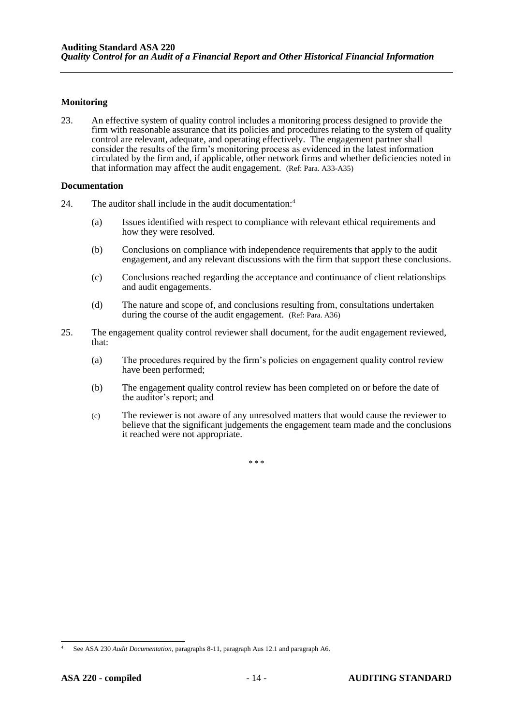#### **Monitoring**

23. An effective system of quality control includes a monitoring process designed to provide the firm with reasonable assurance that its policies and procedures relating to the system of quality control are relevant, adequate, and operating effectively. The engagement partner shall consider the results of the firm's monitoring process as evidenced in the latest information circulated by the firm and, if applicable, other network firms and whether deficiencies noted in that information may affect the audit engagement. (Ref: Para. A33-A35)

#### **Documentation**

- 24. The auditor shall include in the audit documentation:<sup>4</sup>
	- (a) Issues identified with respect to compliance with relevant ethical requirements and how they were resolved.
	- (b) Conclusions on compliance with independence requirements that apply to the audit engagement, and any relevant discussions with the firm that support these conclusions.
	- (c) Conclusions reached regarding the acceptance and continuance of client relationships and audit engagements.
	- (d) The nature and scope of, and conclusions resulting from, consultations undertaken during the course of the audit engagement. (Ref: Para. A36)
- 25. The engagement quality control reviewer shall document, for the audit engagement reviewed, that:
	- (a) The procedures required by the firm's policies on engagement quality control review have been performed;
	- (b) The engagement quality control review has been completed on or before the date of the auditor's report; and
	- (c) The reviewer is not aware of any unresolved matters that would cause the reviewer to believe that the significant judgements the engagement team made and the conclusions it reached were not appropriate.

\* \* \*

<sup>4</sup> See ASA 230 *Audit Documentation,* paragraphs 8-11, paragraph Aus 12.1 and paragraph A6.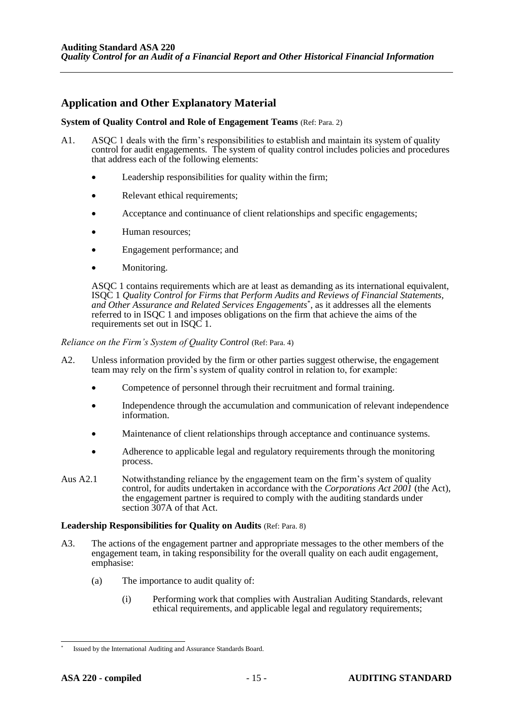## **Application and Other Explanatory Material**

#### **System of Quality Control and Role of Engagement Teams** (Ref: Para. 2)

- A1. ASQC 1 deals with the firm's responsibilities to establish and maintain its system of quality control for audit engagements. The system of quality control includes policies and procedures that address each of the following elements:
	- Leadership responsibilities for quality within the firm;
	- Relevant ethical requirements;
	- Acceptance and continuance of client relationships and specific engagements;
	- Human resources;
	- Engagement performance; and
	- Monitoring.

ASQC 1 contains requirements which are at least as demanding as its international equivalent, ISQC 1 *Quality Control for Firms that Perform Audits and Reviews of Financial Statements, and Other Assurance and Related Services Engagements*\* , as it addresses all the elements referred to in ISQC 1 and imposes obligations on the firm that achieve the aims of the requirements set out in ISQC 1.

#### *Reliance on the Firm's System of Quality Control (Ref: Para. 4)*

- A2. Unless information provided by the firm or other parties suggest otherwise, the engagement team may rely on the firm's system of quality control in relation to, for example:
	- Competence of personnel through their recruitment and formal training.
	- Independence through the accumulation and communication of relevant independence information.
	- Maintenance of client relationships through acceptance and continuance systems.
	- Adherence to applicable legal and regulatory requirements through the monitoring process.
- Aus A2.1 Notwithstanding reliance by the engagement team on the firm's system of quality control, for audits undertaken in accordance with the *Corporations Act 2001* (the Act), the engagement partner is required to comply with the auditing standards under section 307A of that Act.

#### **Leadership Responsibilities for Quality on Audits** (Ref: Para. 8)

- A3. The actions of the engagement partner and appropriate messages to the other members of the engagement team, in taking responsibility for the overall quality on each audit engagement, emphasise:
	- (a) The importance to audit quality of:
		- (i) Performing work that complies with Australian Auditing Standards, relevant ethical requirements, and applicable legal and regulatory requirements;

<sup>\*</sup> Issued by the International Auditing and Assurance Standards Board.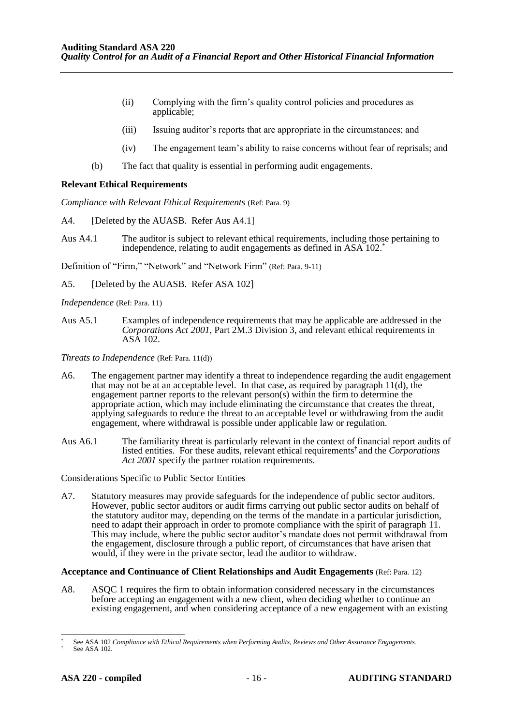- (ii) Complying with the firm's quality control policies and procedures as applicable;
- (iii) Issuing auditor's reports that are appropriate in the circumstances; and
- (iv) The engagement team's ability to raise concerns without fear of reprisals; and
- (b) The fact that quality is essential in performing audit engagements.

#### **Relevant Ethical Requirements**

*Compliance with Relevant Ethical Requirements* (Ref: Para. 9)

- A4. [Deleted by the AUASB. Refer Aus A4.1]
- Aus A4.1 The auditor is subject to relevant ethical requirements, including those pertaining to independence, relating to audit engagements as defined in ASA 102.\*

Definition of "Firm," "Network" and "Network Firm" (Ref: Para. 9-11)

A5. [Deleted by the AUASB. Refer ASA 102]

*Independence* (Ref: Para. 11)

Aus A5.1 Examples of independence requirements that may be applicable are addressed in the *Corporations Act 2001*, Part 2M.3 Division 3, and relevant ethical requirements in ASA 102.

*Threats to Independence* (Ref: Para. 11(d))

- A6. The engagement partner may identify a threat to independence regarding the audit engagement that may not be at an acceptable level. In that case, as required by paragraph 11(d), the engagement partner reports to the relevant person(s) within the firm to determine the appropriate action, which may include eliminating the circumstance that creates the threat, applying safeguards to reduce the threat to an acceptable level or withdrawing from the audit engagement, where withdrawal is possible under applicable law or regulation.
- Aus A6.1 The familiarity threat is particularly relevant in the context of financial report audits of listed entities. For these audits, relevant ethical requirements† and the *Corporations Act 2001* specify the partner rotation requirements.

Considerations Specific to Public Sector Entities

A7. Statutory measures may provide safeguards for the independence of public sector auditors. However, public sector auditors or audit firms carrying out public sector audits on behalf of the statutory auditor may, depending on the terms of the mandate in a particular jurisdiction, need to adapt their approach in order to promote compliance with the spirit of paragraph 11. This may include, where the public sector auditor's mandate does not permit withdrawal from the engagement, disclosure through a public report, of circumstances that have arisen that would, if they were in the private sector, lead the auditor to withdraw.

#### **Acceptance and Continuance of Client Relationships and Audit Engagements** (Ref: Para. 12)

A8. ASQC 1 requires the firm to obtain information considered necessary in the circumstances before accepting an engagement with a new client, when deciding whether to continue an existing engagement, and when considering acceptance of a new engagement with an existing

See ASA 102 *Compliance with Ethical Requirements when Performing Audits, Reviews and Other Assurance Engagements*.

See ASA 102.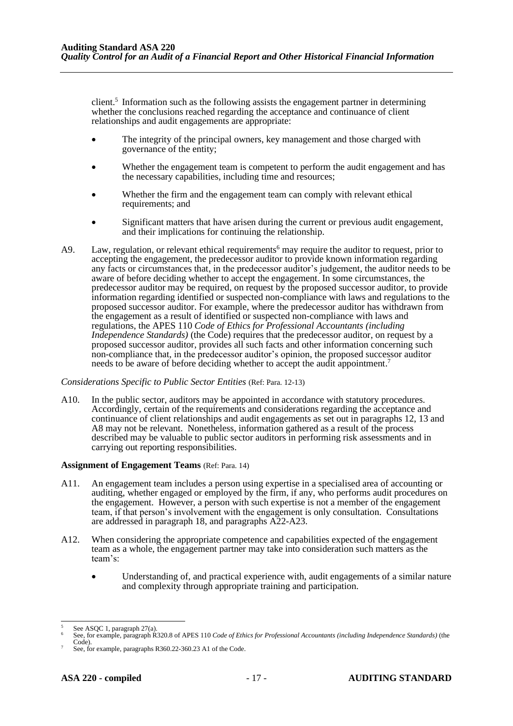client.<sup>5</sup> Information such as the following assists the engagement partner in determining whether the conclusions reached regarding the acceptance and continuance of client relationships and audit engagements are appropriate:

- The integrity of the principal owners, key management and those charged with governance of the entity;
- Whether the engagement team is competent to perform the audit engagement and has the necessary capabilities, including time and resources;
- Whether the firm and the engagement team can comply with relevant ethical requirements; and
- Significant matters that have arisen during the current or previous audit engagement, and their implications for continuing the relationship.
- A9. Law, regulation, or relevant ethical requirements<sup>6</sup> may require the auditor to request, prior to accepting the engagement, the predecessor auditor to provide known information regarding any facts or circumstances that, in the predecessor auditor's judgement, the auditor needs to be aware of before deciding whether to accept the engagement. In some circumstances, the predecessor auditor may be required, on request by the proposed successor auditor, to provide information regarding identified or suspected non-compliance with laws and regulations to the proposed successor auditor. For example, where the predecessor auditor has withdrawn from the engagement as a result of identified or suspected non-compliance with laws and regulations, the APES 110 *Code of Ethics for Professional Accountants (including Independence Standards)* (the Code) requires that the predecessor auditor, on request by a proposed successor auditor, provides all such facts and other information concerning such non-compliance that, in the predecessor auditor's opinion, the proposed successor auditor needs to be aware of before deciding whether to accept the audit appointment.<sup>7</sup>

#### *Considerations Specific to Public Sector Entities* (Ref: Para. 12-13)

A10. In the public sector, auditors may be appointed in accordance with statutory procedures. Accordingly, certain of the requirements and considerations regarding the acceptance and continuance of client relationships and audit engagements as set out in paragraphs 12, 13 and A8 may not be relevant. Nonetheless, information gathered as a result of the process described may be valuable to public sector auditors in performing risk assessments and in carrying out reporting responsibilities.

#### **Assignment of Engagement Teams** (Ref: Para. 14)

- A11. An engagement team includes a person using expertise in a specialised area of accounting or auditing, whether engaged or employed by the firm, if any, who performs audit procedures on the engagement. However, a person with such expertise is not a member of the engagement team, if that person's involvement with the engagement is only consultation. Consultations are addressed in paragraph 18, and paragraphs A22-A23.
- A12. When considering the appropriate competence and capabilities expected of the engagement team as a whole, the engagement partner may take into consideration such matters as the team's:
	- Understanding of, and practical experience with, audit engagements of a similar nature and complexity through appropriate training and participation.

 $5$  See ASQC 1, paragraph 27(a).

<sup>6</sup> See, for example, paragraph R320.8 of APES 110 *Code of Ethics for Professional Accountants (including Independence Standards)* (the Code).

See, for example, paragraphs R360.22-360.23 A1 of the Code.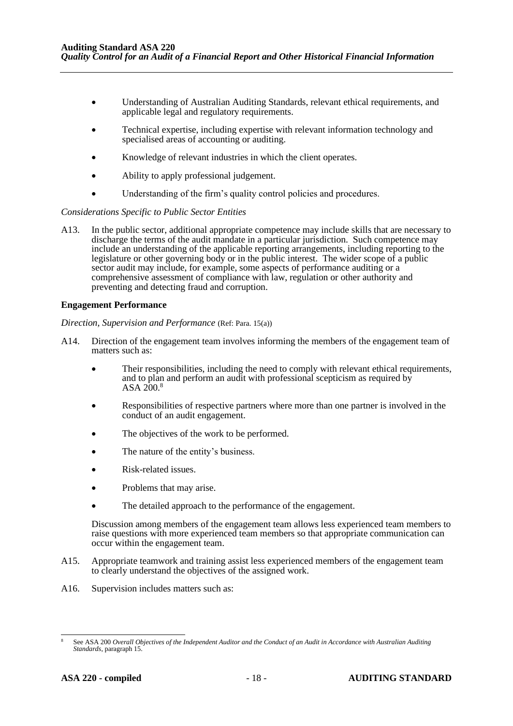- Understanding of Australian Auditing Standards, relevant ethical requirements, and applicable legal and regulatory requirements.
- Technical expertise, including expertise with relevant information technology and specialised areas of accounting or auditing.
- Knowledge of relevant industries in which the client operates.
- Ability to apply professional judgement.
- Understanding of the firm's quality control policies and procedures.

#### *Considerations Specific to Public Sector Entities*

A13. In the public sector, additional appropriate competence may include skills that are necessary to discharge the terms of the audit mandate in a particular jurisdiction. Such competence may include an understanding of the applicable reporting arrangements, including reporting to the legislature or other governing body or in the public interest. The wider scope of a public sector audit may include, for example, some aspects of performance auditing or a comprehensive assessment of compliance with law, regulation or other authority and preventing and detecting fraud and corruption.

#### **Engagement Performance**

*Direction, Supervision and Performance* (Ref: Para. 15(a))

- A14. Direction of the engagement team involves informing the members of the engagement team of matters such as:
	- Their responsibilities, including the need to comply with relevant ethical requirements, and to plan and perform an audit with professional scepticism as required by ASA 200.<sup>8</sup>
	- Responsibilities of respective partners where more than one partner is involved in the conduct of an audit engagement.
	- The objectives of the work to be performed.
	- The nature of the entity's business.
	- Risk-related issues.
	- Problems that may arise.
	- The detailed approach to the performance of the engagement.

Discussion among members of the engagement team allows less experienced team members to raise questions with more experienced team members so that appropriate communication can occur within the engagement team.

- A15. Appropriate teamwork and training assist less experienced members of the engagement team to clearly understand the objectives of the assigned work.
- A16. Supervision includes matters such as:

<sup>8</sup> See ASA 200 *Overall Objectives of the Independent Auditor and the Conduct of an Audit in Accordance with Australian Auditing Standards*, paragraph 15.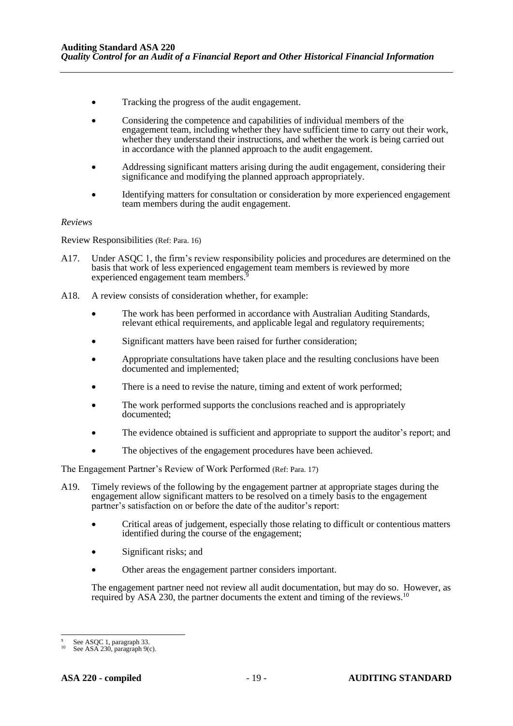- Tracking the progress of the audit engagement.
- Considering the competence and capabilities of individual members of the engagement team, including whether they have sufficient time to carry out their work, whether they understand their instructions, and whether the work is being carried out in accordance with the planned approach to the audit engagement.
- Addressing significant matters arising during the audit engagement, considering their significance and modifying the planned approach appropriately.
- Identifying matters for consultation or consideration by more experienced engagement team members during the audit engagement.

#### *Reviews*

Review Responsibilities (Ref: Para. 16)

- A17. Under ASQC 1, the firm's review responsibility policies and procedures are determined on the basis that work of less experienced engagement team members is reviewed by more experienced engagement team members.<sup>3</sup>
- A18. A review consists of consideration whether, for example:
	- The work has been performed in accordance with Australian Auditing Standards, relevant ethical requirements, and applicable legal and regulatory requirements;
	- Significant matters have been raised for further consideration;
	- Appropriate consultations have taken place and the resulting conclusions have been documented and implemented;
	- There is a need to revise the nature, timing and extent of work performed;
	- The work performed supports the conclusions reached and is appropriately documented;
	- The evidence obtained is sufficient and appropriate to support the auditor's report; and
	- The objectives of the engagement procedures have been achieved.

The Engagement Partner's Review of Work Performed (Ref: Para. 17)

- A19. Timely reviews of the following by the engagement partner at appropriate stages during the engagement allow significant matters to be resolved on a timely basis to the engagement partner's satisfaction on or before the date of the auditor's report:
	- Critical areas of judgement, especially those relating to difficult or contentious matters identified during the course of the engagement;
	- Significant risks; and
	- Other areas the engagement partner considers important.

The engagement partner need not review all audit documentation, but may do so. However, as required by ASA 230, the partner documents the extent and timing of the reviews.<sup>10</sup>

See ASQC 1, paragraph 33.

See ASA 230, paragraph 9(c).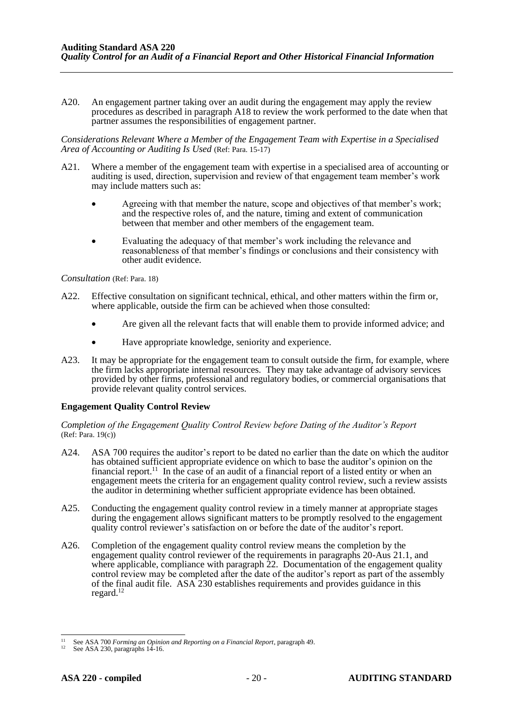A20. An engagement partner taking over an audit during the engagement may apply the review procedures as described in paragraph A18 to review the work performed to the date when that partner assumes the responsibilities of engagement partner.

*Considerations Relevant Where a Member of the Engagement Team with Expertise in a Specialised Area of Accounting or Auditing Is Used* (Ref: Para. 15-17)

- A21. Where a member of the engagement team with expertise in a specialised area of accounting or auditing is used, direction, supervision and review of that engagement team member's work may include matters such as:
	- Agreeing with that member the nature, scope and objectives of that member's work; and the respective roles of, and the nature, timing and extent of communication between that member and other members of the engagement team.
	- Evaluating the adequacy of that member's work including the relevance and reasonableness of that member's findings or conclusions and their consistency with other audit evidence.

*Consultation* (Ref: Para. 18)

- A22. Effective consultation on significant technical, ethical, and other matters within the firm or, where applicable, outside the firm can be achieved when those consulted:
	- Are given all the relevant facts that will enable them to provide informed advice; and
	- Have appropriate knowledge, seniority and experience.
- A23. It may be appropriate for the engagement team to consult outside the firm, for example, where the firm lacks appropriate internal resources. They may take advantage of advisory services provided by other firms, professional and regulatory bodies, or commercial organisations that provide relevant quality control services.

#### **Engagement Quality Control Review**

*Completion of the Engagement Quality Control Review before Dating of the Auditor's Report*  (Ref: Para. 19(c))

- A24. ASA 700 requires the auditor's report to be dated no earlier than the date on which the auditor has obtained sufficient appropriate evidence on which to base the auditor's opinion on the financial report.<sup>11</sup> In the case of an audit of a financial report of a listed entity or when an engagement meets the criteria for an engagement quality control review, such a review assists the auditor in determining whether sufficient appropriate evidence has been obtained.
- A25. Conducting the engagement quality control review in a timely manner at appropriate stages during the engagement allows significant matters to be promptly resolved to the engagement quality control reviewer's satisfaction on or before the date of the auditor's report.
- A26. Completion of the engagement quality control review means the completion by the engagement quality control reviewer of the requirements in paragraphs 20-Aus 21.1, and where applicable, compliance with paragraph 22. Documentation of the engagement quality control review may be completed after the date of the auditor's report as part of the assembly of the final audit file. ASA 230 establishes requirements and provides guidance in this regard. 12

<sup>11</sup> See ASA 700 *Forming an Opinion and Reporting on a Financial Report*, paragraph 49.

See ASA 230, paragraphs 14-16.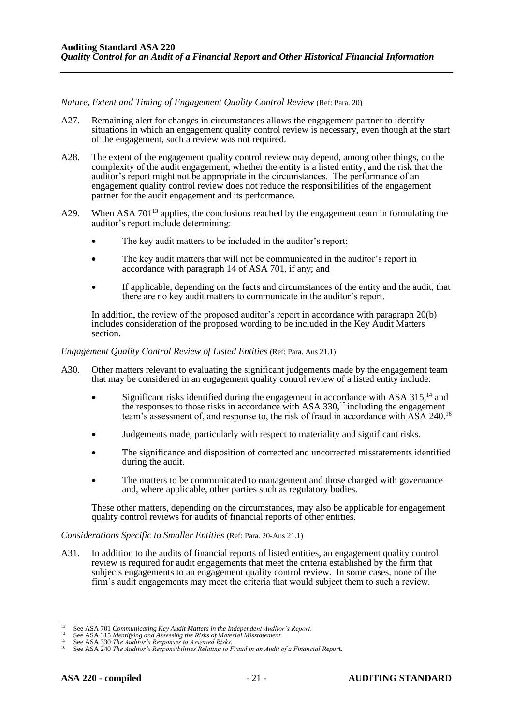*Nature, Extent and Timing of Engagement Quality Control Review* (Ref: Para. 20)

- A27. Remaining alert for changes in circumstances allows the engagement partner to identify situations in which an engagement quality control review is necessary, even though at the start of the engagement, such a review was not required.
- A28. The extent of the engagement quality control review may depend, among other things, on the complexity of the audit engagement, whether the entity is a listed entity, and the risk that the auditor's report might not be appropriate in the circumstances. The performance of an engagement quality control review does not reduce the responsibilities of the engagement partner for the audit engagement and its performance.
- A29. When ASA 701<sup>13</sup> applies, the conclusions reached by the engagement team in formulating the auditor's report include determining:
	- The key audit matters to be included in the auditor's report;
	- The key audit matters that will not be communicated in the auditor's report in accordance with paragraph 14 of ASA 701, if any; and
	- If applicable, depending on the facts and circumstances of the entity and the audit, that there are no key audit matters to communicate in the auditor's report.

In addition, the review of the proposed auditor's report in accordance with paragraph 20(b) includes consideration of the proposed wording to be included in the Key Audit Matters section.

*Engagement Quality Control Review of Listed Entities* (Ref: Para. Aus 21.1)

- A30. Other matters relevant to evaluating the significant judgements made by the engagement team that may be considered in an engagement quality control review of a listed entity include:
	- Significant risks identified during the engagement in accordance with ASA  $315<sup>14</sup>$  and the responses to those risks in accordance with ASA 330,<sup>15</sup> including the engagement team's assessment of, and response to, the risk of fraud in accordance with ASA 240.<sup>16</sup>
	- Judgements made, particularly with respect to materiality and significant risks.
	- The significance and disposition of corrected and uncorrected misstatements identified during the audit.
	- The matters to be communicated to management and those charged with governance and, where applicable, other parties such as regulatory bodies.

These other matters, depending on the circumstances, may also be applicable for engagement quality control reviews for audits of financial reports of other entities.

*Considerations Specific to Smaller Entities* (Ref: Para. 20-Aus 21.1)

A31. In addition to the audits of financial reports of listed entities, an engagement quality control review is required for audit engagements that meet the criteria established by the firm that subjects engagements to an engagement quality control review. In some cases, none of the firm's audit engagements may meet the criteria that would subject them to such a review.

<sup>13</sup> See ASA 701 *Communicating Key Audit Matters in the Independent Auditor's Report*.

<sup>14</sup> See ASA 315 *Identifying and Assessing the Risks of Material Misstatement.* <sup>15</sup> See ASA 330 *The Auditor's Responses to Assessed Risks*.

<sup>16</sup> See ASA 240 *The Auditor's Responsibilities Relating to Fraud in an Audit of a Financial Repor*t.